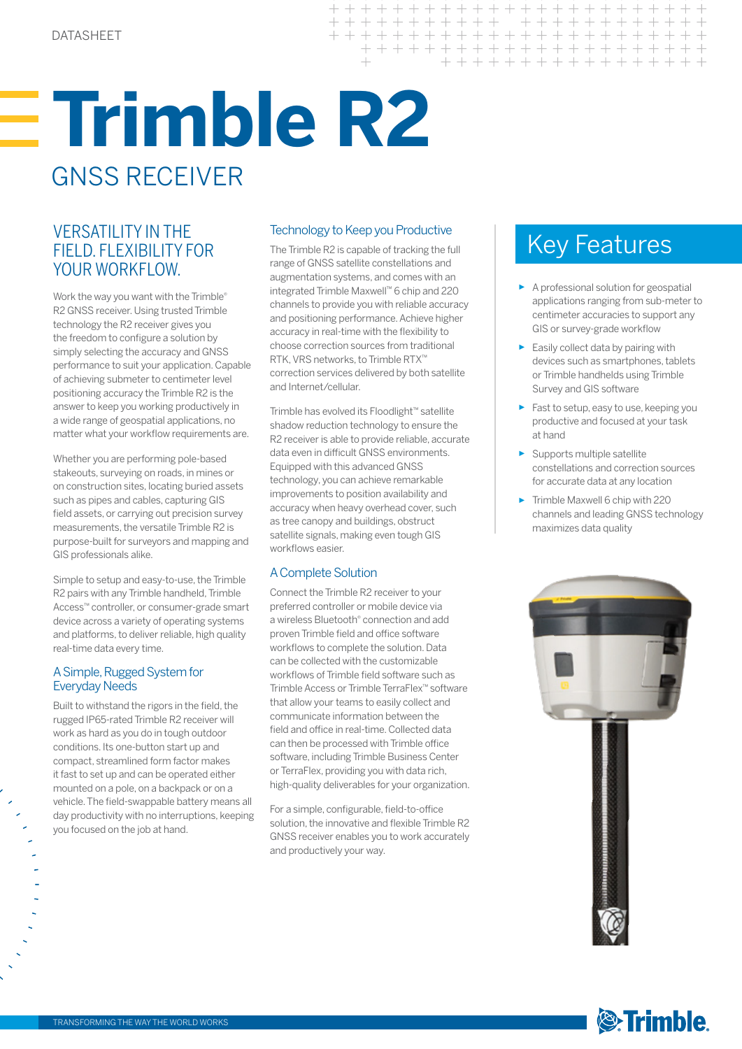# **Trimble R2** GNSS RECEIVER

# VERSATILITY IN THE Technology to Keep you Productive<br>FIELD. FLEXIBILITY FOR The Trimble R2 is capable of tracking the full Key Features FIELD. FLEXIBILITY FOR YOUR WORKELOW.

Work the way you want with the Trimble® R2 GNSS receiver. Using trusted Trimble technology the R2 receiver gives you the freedom to configure a solution by simply selecting the accuracy and GNSS performance to suit your application. Capable of achieving submeter to centimeter level positioning accuracy the Trimble R2 is the answer to keep you working productively in a wide range of geospatial applications, no matter what your workflow requirements are.

Whether you are performing pole-based stakeouts, surveying on roads, in mines or on construction sites, locating buried assets such as pipes and cables, capturing GIS field assets, or carrying out precision survey measurements, the versatile Trimble R2 is purpose-built for surveyors and mapping and GIS professionals alike.

Simple to setup and easy-to-use, the Trimble R2 pairs with any Trimble handheld, Trimble Access™ controller, or consumer-grade smart device across a variety of operating systems and platforms, to deliver reliable, high quality real-time data every time.

## A Simple, Rugged System for **Everyday Needs**

Built to withstand the rigors in the field, the rugged IP65-rated Trimble R2 receiver will work as hard as you do in tough outdoor conditions. Its one-button start up and compact, streamlined form factor makes it fast to set up and can be operated either mounted on a pole, on a backpack or on a vehicle. The field-swappable battery means all day productivity with no interruptions, keeping you focused on the job at hand.

# Technology to Keep you Productive

 $++ +$ 

 $+ + + +$ 

 $++ +$ 

> + + + + + + + + + + + + + + + + + + + + + + + + + + + + + + + +

The Trimble R2 is capable of tracking the full range of GNSS satellite constellations and augmentation systems, and comes with an integrated Trimble Maxwell™ 6 chip and 220 channels to provide you with reliable accuracy and positioning performance. Achieve higher accuracy in real-time with the flexibility to choose correction sources from traditional RTK, VRS networks, to Trimble RTX™ correction services delivered by both satellite and Internet/cellular.

Trimble has evolved its Floodlight™ satellite shadow reduction technology to ensure the R2 receiver is able to provide reliable, accurate data even in difficult GNSS environments. Equipped with this advanced GNSS technology, you can achieve remarkable improvements to position availability and accuracy when heavy overhead cover, such as tree canopy and buildings, obstruct satellite signals, making even tough GIS workflows easier.

# A Complete Solution

Connect the Trimble R2 receiver to your preferred controller or mobile device via a wireless Bluetooth® connection and add proven Trimble field and office software workflows to complete the solution. Data can be collected with the customizable workflows of Trimble field software such as Trimble Access or Trimble TerraFlex™ software that allow your teams to easily collect and communicate information between the field and office in real-time. Collected data can then be processed with Trimble office software, including Trimble Business Center or TerraFlex, providing you with data rich, high-quality deliverables for your organization.

For a simple, configurable, field-to-office solution, the innovative and flexible Trimble R2 GNSS receiver enables you to work accurately and productively your way.

- ► A professional solution for geospatial applications ranging from sub-meter to centimeter accuracies to support any GIS or survey-grade workflow
- ► Easily collect data by pairing with devices such as smartphones, tablets or Trimble handhelds using Trimble Survey and GIS software
- ► Fast to setup, easy to use, keeping you productive and focused at your task at hand
- ► Supports multiple satellite constellations and correction sources for accurate data at any location
- ► Trimble Maxwell 6 chip with 220 channels and leading GNSS technology maximizes data quality